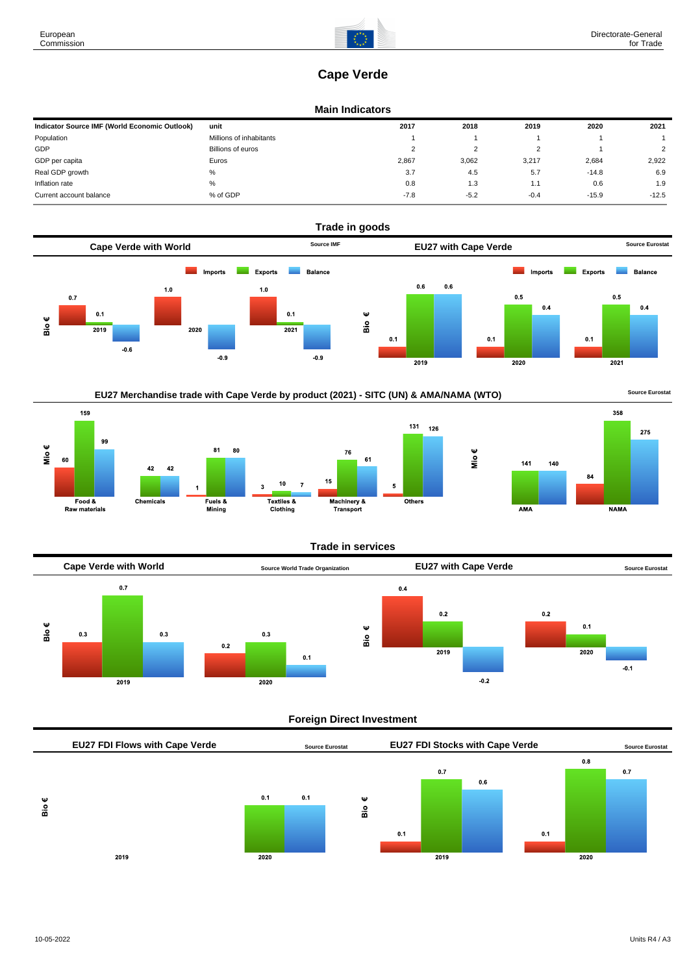# **Cape Verde**

## **Main Indicators**

| Indicator Source IMF (World Economic Outlook) | unit                    | 2017   | 2018   | 2019   | 2020    | 2021         |
|-----------------------------------------------|-------------------------|--------|--------|--------|---------|--------------|
| Population                                    | Millions of inhabitants |        |        |        |         |              |
| GDP                                           | Billions of euros       |        |        |        |         | <sup>o</sup> |
| GDP per capita                                | Euros                   | 2,867  | 3.062  | 3,217  | 2,684   | 2,922        |
| Real GDP growth                               | $\%$                    | 3.7    | 4.5    | 5.7    | $-14.8$ | 6.9          |
| Inflation rate                                | %                       | 0.8    | 1.3    | 1.1    | 0.6     | 1.9          |
| Current account balance                       | % of GDP                | $-7.8$ | $-5.2$ | $-0.4$ | $-15.9$ | $-12.5$      |









# **Trade in services**

![](_page_0_Figure_11.jpeg)

# **Foreign Direct Investment**

![](_page_0_Figure_13.jpeg)